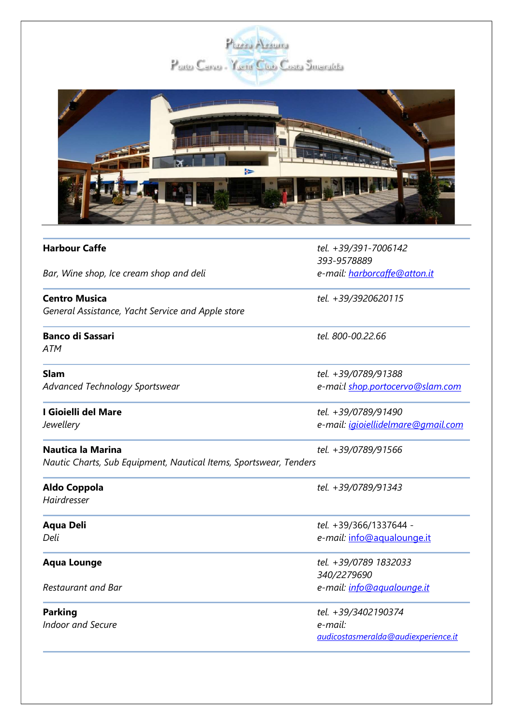



| <b>Harbour Caffe</b>                                              | tel. +39/391-7006142<br>393-9578889 |
|-------------------------------------------------------------------|-------------------------------------|
| Bar, Wine shop, Ice cream shop and deli                           | e-mail: harborcaffe@atton.it        |
| <b>Centro Musica</b>                                              | tel. +39/3920620115                 |
| General Assistance, Yacht Service and Apple store                 |                                     |
| <b>Banco di Sassari</b>                                           | tel. 800-00.22.66                   |
| <b>ATM</b>                                                        |                                     |
| <b>Slam</b>                                                       | tel. +39/0789/91388                 |
| <b>Advanced Technology Sportswear</b>                             | e-mai:l shop.portocervo@slam.com    |
| I Gioielli del Mare                                               | tel. +39/0789/91490                 |
| Jewellery                                                         | e-mail: igioiellidelmare@gmail.com  |
| <b>Nautica la Marina</b>                                          | tel. +39/0789/91566                 |
| Nautic Charts, Sub Equipment, Nautical Items, Sportswear, Tenders |                                     |
| <b>Aldo Coppola</b>                                               | tel. +39/0789/91343                 |
| Hairdresser                                                       |                                     |
| <b>Aqua Deli</b>                                                  | tel. +39/366/1337644 -              |
| Deli                                                              | e-mail: info@aqualounge.it          |
| <b>Aqua Lounge</b>                                                | tel. +39/0789 1832033               |
|                                                                   | 340/2279690                         |
| <b>Restaurant and Bar</b>                                         | e-mail: info@aqualounge.it          |
| <b>Parking</b>                                                    | tel. +39/3402190374                 |
| <b>Indoor and Secure</b>                                          | e-mail:                             |
|                                                                   | audicostasmeralda@audiexperience.it |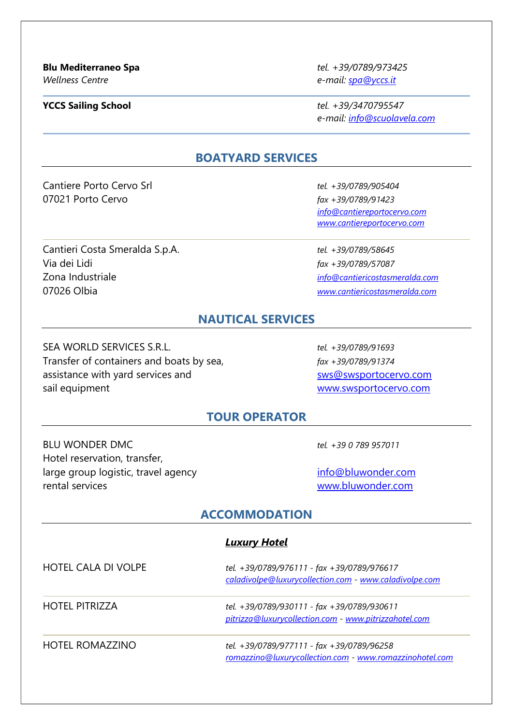Wellness Centre e-mail: spa@yccs.it

**YCCS Sailing School** tel. +39/3470795547 e-mail: info@scuolavela.com

#### BOATYARD SERVICES

Cantiere Porto Cervo Srl tel. +39/0789/905404 07021 Porto Cervo **fax +39/0789/91423** 

Cantieri Costa Smeralda S.p.A. tel. +39/0789/58645 Via dei Lidi fax +39/0789/57087 Zona Industriale info@cantiericostasmeralda.com 07026 Olbia www.cantiericostasmeralda.com

 info@cantiereportocervo.com www.cantiereportocervo.com

### NAUTICAL SERVICES

SEA WORLD SERVICES S.R.L. tel. +39/0789/91693 Transfer of containers and boats by sea,  $\frac{fax + 39}{0789}$  +39/0789/91374 assistance with yard services and swsteed assistance with yard services and sail equipment www.swsportocervo.com

#### TOUR OPERATOR

BLU WONDER DMC tel. +39 0 789 957011 Hotel reservation, transfer, large group logistic, travel agency info@bluwonder.com rental services www.bluwonder.com

#### ACCOMMODATION

## Luxury Hotel HOTEL CALA DI VOLPE tel. +39/0789/976111 - fax +39/0789/976617 caladivolpe@luxurycollection.com - www.caladivolpe.com HOTEL PITRIZZA tel. +39/0789/930111 - fax +39/0789/930611 pitrizza@luxurycollection.com - www.pitrizzahotel.com HOTEL ROMAZZINO tel. +39/0789/977111 - fax +39/0789/96258 romazzino@luxurycollection.com - www.romazzinohotel.com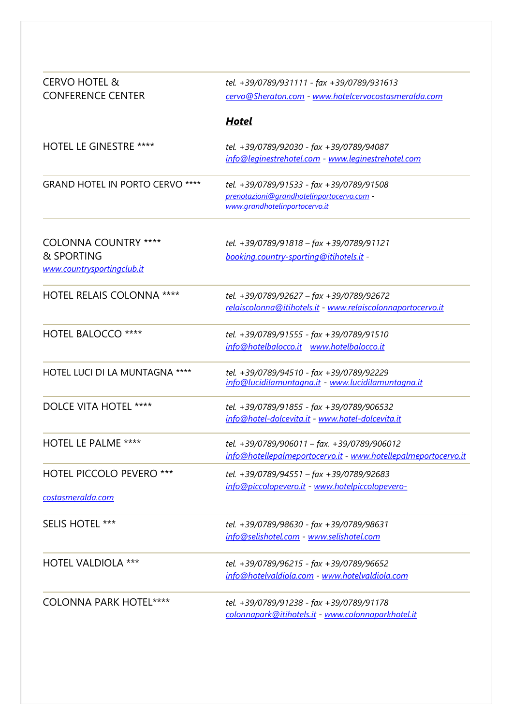| <b>CERVO HOTEL &amp;</b><br><b>CONFERENCE CENTER</b>                    | tel. +39/0789/931111 - fax +39/0789/931613<br>cervo@Sheraton.com - www.hotelcervocostasmeralda.com                     |
|-------------------------------------------------------------------------|------------------------------------------------------------------------------------------------------------------------|
|                                                                         | <b>Hotel</b>                                                                                                           |
| <b>HOTEL LE GINESTRE ****</b>                                           | tel. +39/0789/92030 - fax +39/0789/94087<br>info@leginestrehotel.com - www.leginestrehotel.com                         |
| <b>GRAND HOTEL IN PORTO CERVO ****</b>                                  | tel. +39/0789/91533 - fax +39/0789/91508<br>prenotazioni@grandhotelinportocervo.com -<br>www.grandhotelinportocervo.it |
| <b>COLONNA COUNTRY ****</b><br>& SPORTING<br>www.countrysportingclub.it | tel. +39/0789/91818 - fax +39/0789/91121<br>booking.country-sporting@itihotels.it -                                    |
| <b>HOTEL RELAIS COLONNA ****</b>                                        | tel. +39/0789/92627 - fax +39/0789/92672<br>relaiscolonna@itihotels.it - www.relaiscolonnaportocervo.it                |
| <b>HOTEL BALOCCO ****</b>                                               | tel. +39/0789/91555 - fax +39/0789/91510<br>info@hotelbalocco.it www.hotelbalocco.it                                   |
| HOTEL LUCI DI LA MUNTAGNA ****                                          | tel. +39/0789/94510 - fax +39/0789/92229<br>info@lucidilamuntagna.it - www.lucidilamuntagna.it                         |
| <b>DOLCE VITA HOTEL ****</b>                                            | tel. +39/0789/91855 - fax +39/0789/906532<br>info@hotel-dolcevita.it - www.hotel-dolcevita.it                          |
| <b>HOTEL LE PALME ****</b>                                              | tel. +39/0789/906011 - fax. +39/0789/906012<br>info@hotellepalmeportocervo.it - www.hotellepalmeportocervo.it          |
| <b>HOTEL PICCOLO PEVERO ***</b><br>costasmeralda.com                    | tel. +39/0789/94551 - fax +39/0789/92683<br>info@piccolopevero.it - www.hotelpiccolopevero-                            |
| <b>SELIS HOTEL ***</b>                                                  | tel. +39/0789/98630 - fax +39/0789/98631<br>info@selishotel.com - www.selishotel.com                                   |
| <b>HOTEL VALDIOLA ***</b>                                               | tel. +39/0789/96215 - fax +39/0789/96652<br>info@hotelvaldiola.com - www.hotelvaldiola.com                             |
| <b>COLONNA PARK HOTEL****</b>                                           | tel. +39/0789/91238 - fax +39/0789/91178<br>colonnapark@itihotels.it - www.colonnaparkhotel.it                         |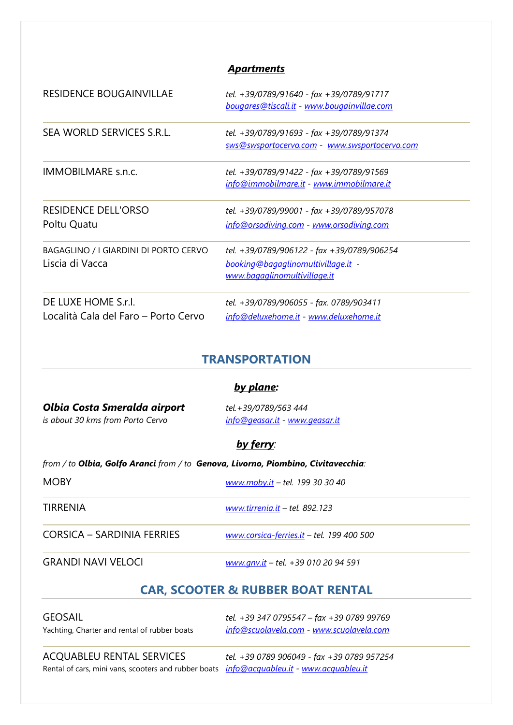#### **Apartments**

| <b>RESIDENCE BOUGAINVILLAE</b>                              | tel. +39/0789/91640 - fax +39/0789/91717<br>bougares@tiscali.it - www.bougainvillae.com                          |
|-------------------------------------------------------------|------------------------------------------------------------------------------------------------------------------|
| SEA WORLD SERVICES S.R.L.                                   | tel. +39/0789/91693 - fax +39/0789/91374<br>sws@swsportocervo.com - www.swsportocervo.com                        |
| <b>IMMOBILMARE s.n.c.</b>                                   | tel. +39/0789/91422 - fax +39/0789/91569<br>info@immobilmare.it - www.immobilmare.it                             |
| <b>RESIDENCE DELL'ORSO</b><br>Poltu Quatu                   | tel. +39/0789/99001 - fax +39/0789/957078<br>info@orsodiving.com - www.orsodiving.com                            |
| BAGAGLINO / I GIARDINI DI PORTO CERVO<br>Liscia di Vacca    | tel. +39/0789/906122 - fax +39/0789/906254<br>booking@bagaglinomultivillage.it -<br>www.bagaglinomultivillage.it |
| DE LUXE HOME S.r.l.<br>Località Cala del Faro – Porto Cervo | tel. +39/0789/906055 - fax. 0789/903411<br>info@deluxehome.it - www.deluxehome.it                                |

### TRANSPORTATION

#### by plane:

# Olbia Costa Smeralda airport tel.+39/0789/563 444

is about 30 kms from Porto Cervo info@geasar.it - www.geasar.it

#### by ferry:

from / to Olbia, Golfo Aranci from / to Genova, Livorno, Piombino, Civitavecchia:

| <b>MOBY</b>                | www.moby.it - tel. 199 30 30 40           |
|----------------------------|-------------------------------------------|
| TIRRENIA                   | www.tirrenia.it - tel. 892.123            |
| CORSICA – SARDINIA FERRIES | www.corsica-ferries.it - tel. 199 400 500 |
| <b>GRANDI NAVI VELOCI</b>  | www.gnv.it - tel. +39 010 20 94 591       |

## CAR, SCOOTER & RUBBER BOAT RENTAL

GEOSAIL tel. +39 347 0795547 – fax +39 0789 99769 Yachting, Charter and rental of rubber boats info@scuolavela.com - www.scuolavela.com

ACQUABLEU RENTAL SERVICES tel. +39 0789 906049 - fax +39 0789 957254 Rental of cars, mini vans, scooters and rubber boats info@acquableu.it - www.acquableu.it